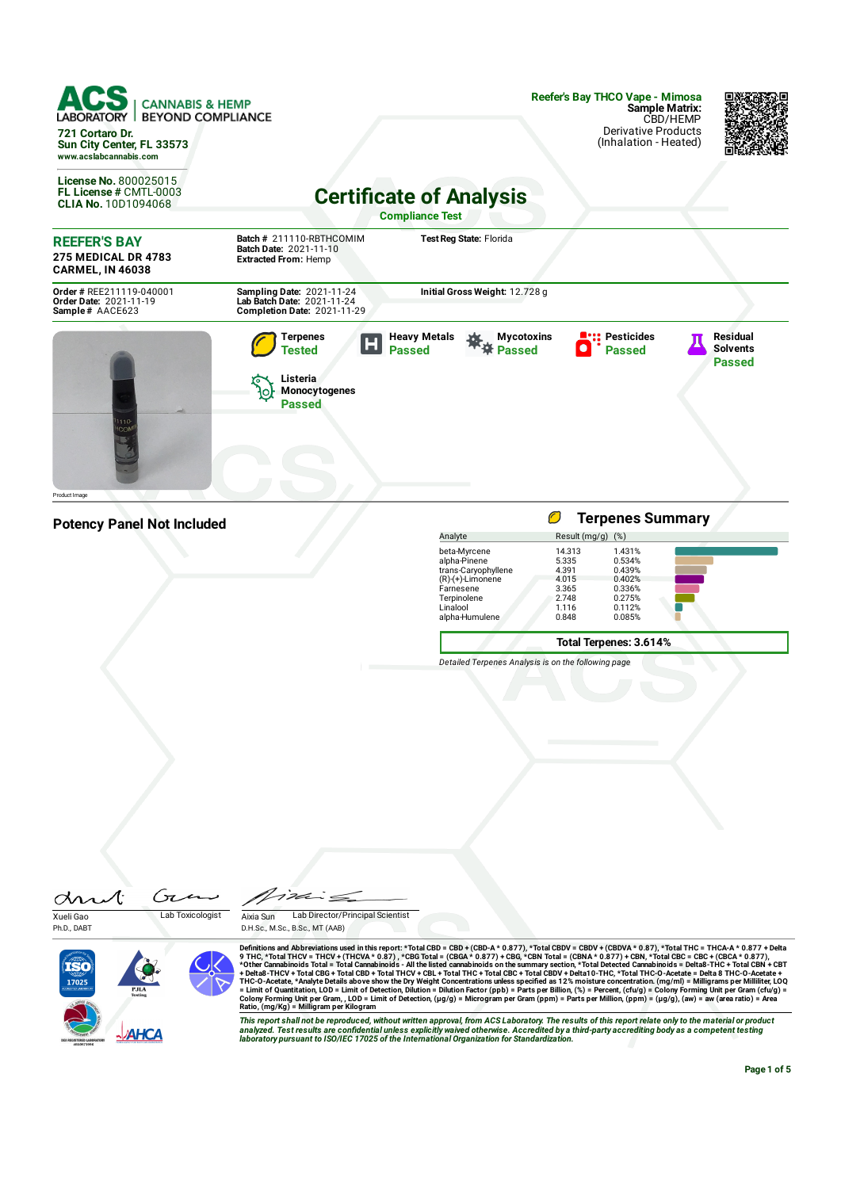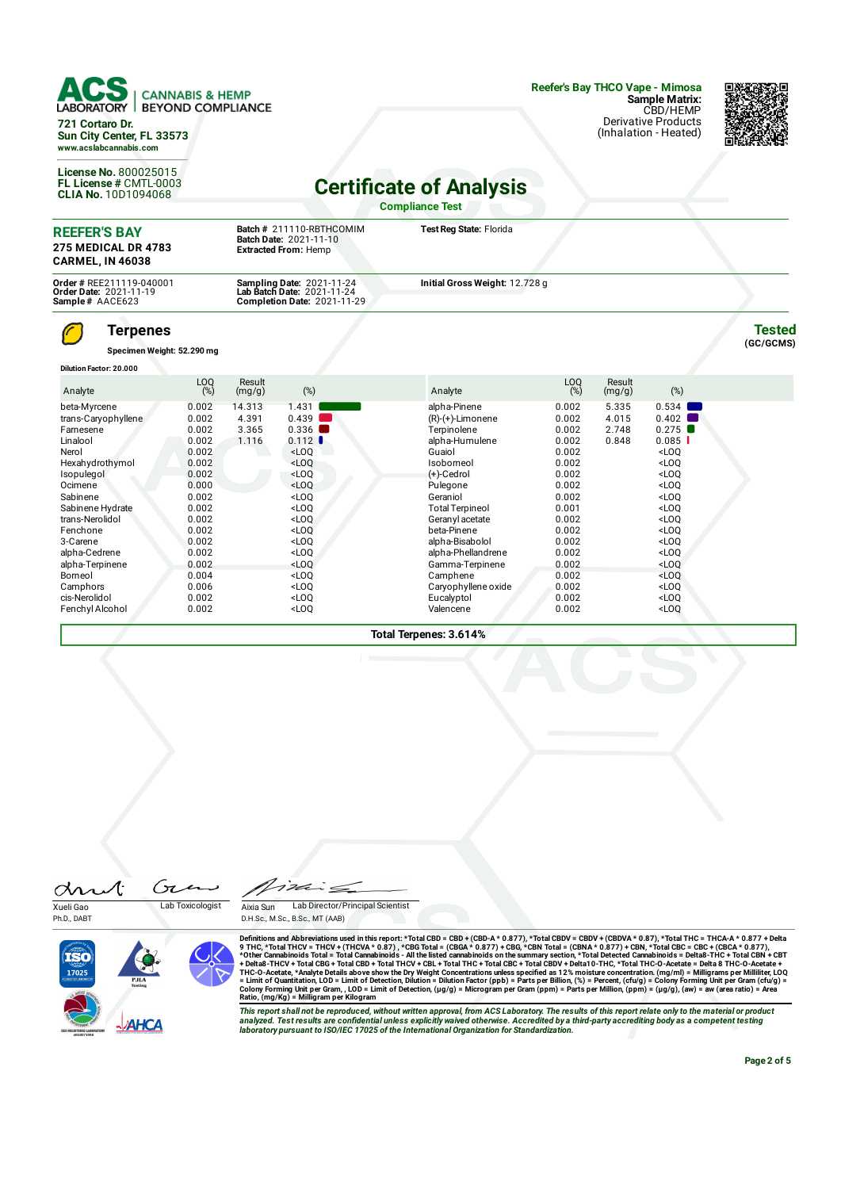| LABORATORY  <br>721 Cortaro Dr.<br>Sun City Center, FL 33573<br>www.acslabcannabis.com                                                                                                                                                                                   | <b>CANNABIS &amp; HEMP</b><br><b>BEYOND COMPLIANCE</b>                                                                                                         |                                   |                                                                                                                                                                                            |                                                                                                                                                                                                                                                                                                             |                                                                                                                                                                |                                  | Reefer's Bay THCO Vape - Mimosa<br><b>Sample Matrix:</b><br>CBD/HEMP<br><b>Derivative Products</b><br>(Inhalation - Heated)                                                                                                                                                                       |                            |
|--------------------------------------------------------------------------------------------------------------------------------------------------------------------------------------------------------------------------------------------------------------------------|----------------------------------------------------------------------------------------------------------------------------------------------------------------|-----------------------------------|--------------------------------------------------------------------------------------------------------------------------------------------------------------------------------------------|-------------------------------------------------------------------------------------------------------------------------------------------------------------------------------------------------------------------------------------------------------------------------------------------------------------|----------------------------------------------------------------------------------------------------------------------------------------------------------------|----------------------------------|---------------------------------------------------------------------------------------------------------------------------------------------------------------------------------------------------------------------------------------------------------------------------------------------------|----------------------------|
| License No. 800025015<br>FL License # CMTL-0003<br><b>CLIA No. 10D1094068</b>                                                                                                                                                                                            |                                                                                                                                                                |                                   |                                                                                                                                                                                            | <b>Certificate of Analysis</b><br><b>Compliance Test</b>                                                                                                                                                                                                                                                    |                                                                                                                                                                |                                  |                                                                                                                                                                                                                                                                                                   |                            |
| <b>REEFER'S BAY</b><br><b>275 MEDICAL DR 4783</b><br><b>CARMEL, IN 46038</b>                                                                                                                                                                                             |                                                                                                                                                                |                                   | Batch # 211110-RBTHCOMIM<br>Batch Date: 2021-11-10<br><b>Extracted From: Hemp</b>                                                                                                          | Test Reg State: Florida                                                                                                                                                                                                                                                                                     |                                                                                                                                                                |                                  |                                                                                                                                                                                                                                                                                                   |                            |
| Order # REE211119-040001<br>Order Date: 2021-11-19<br>Sample# AACE623                                                                                                                                                                                                    |                                                                                                                                                                |                                   | Sampling Date: 2021-11-24<br>Lab Batch Date: 2021-11-24<br><b>Completion Date: 2021-11-29</b>                                                                                              | Initial Gross Weight: 12.728 g                                                                                                                                                                                                                                                                              |                                                                                                                                                                |                                  |                                                                                                                                                                                                                                                                                                   |                            |
| <b>Terpenes</b><br>Specimen Weight: 52.290 mg<br><b>Dilution Factor: 20.000</b>                                                                                                                                                                                          |                                                                                                                                                                |                                   |                                                                                                                                                                                            |                                                                                                                                                                                                                                                                                                             |                                                                                                                                                                |                                  |                                                                                                                                                                                                                                                                                                   | <b>Tested</b><br>(GC/GCMS) |
| Analyte                                                                                                                                                                                                                                                                  | LOQ<br>(%)                                                                                                                                                     | Result<br>(mg/g)                  | (%)                                                                                                                                                                                        | Analyte                                                                                                                                                                                                                                                                                                     | LOQ<br>(%)                                                                                                                                                     | Result<br>(mg/g)                 | (%)                                                                                                                                                                                                                                                                                               |                            |
| beta-Myrcene<br>trans-Caryophyllene<br>Farnesene<br>Linalool<br>Nerol<br>Hexahydrothymol<br>Isopulegol<br>Ocimene<br>Sabinene<br>Sabinene Hydrate<br>trans-Nerolidol<br>Fenchone<br>3-Carene<br>alpha-Cedrene<br>alpha-Terpinene<br>Borneol<br>Camphors<br>cis-Nerolidol | 0.002<br>0.002<br>0.002<br>0.002<br>0.002<br>0.002<br>0.002<br>0.000<br>0.002<br>0.002<br>0.002<br>0.002<br>0.002<br>0.002<br>0.002<br>0.004<br>0.006<br>0.002 | 14.313<br>4.391<br>3.365<br>1.116 | 1.431<br>0.439<br>0.336<br>0.112<br>$<$ LOQ<br>$<$ LOQ<br>$<$ LOQ<br>$<$ LOQ<br>$<$ LOQ<br>$<$ LOQ<br>$<$ LOQ<br>$<$ LOQ<br>$<$ LOQ<br>$<$ LOQ<br>$<$ LOQ<br>$<$ LOQ<br>$<$ LOQ<br>$<$ LOO | alpha-Pinene<br>$(R)-(+)$ -Limonene<br>Terpinolene<br>alpha-Humulene<br>Guaiol<br>Isoborneol<br>(+)-Cedrol<br>Pulegone<br>Geraniol<br><b>Total Terpineol</b><br>Geranyl acetate<br>beta-Pinene<br>alpha-Bisabolol<br>alpha-Phellandrene<br>Gamma-Terpinene<br>Camphene<br>Caryophyllene oxide<br>Eucalyptol | 0.002<br>0.002<br>0.002<br>0.002<br>0.002<br>0.002<br>0.002<br>0.002<br>0.002<br>0.001<br>0.002<br>0.002<br>0.002<br>0.002<br>0.002<br>0.002<br>0.002<br>0.002 | 5.335<br>4.015<br>2.748<br>0.848 | 0.534<br>0.402<br>0.275<br>0.085<br>$<$ LOO<br>$<$ LOO<br>$<$ LOQ<br>$<$ LOO<br>$<$ LOO<br>$<$ LOO<br><loq<br><math>&lt;</math>LOQ<br/><math>&lt;</math>LOQ<br/><math>&lt;</math>LOQ<br/><math>&lt;</math>LOO<br/><loq<br><math>&lt;</math>LOQ<br/><loq< td=""><td></td></loq<></loq<br></loq<br> |                            |

**Total Terpenes: 3.614%**

FenchylAlcohol 0.002 <LOQ Valencene 0.002 <LOQ



Ph.D., DABT





Definitions and Abbreviations used in this report:\*Total CBD = CBD + (CBD-A\* 0.877), \*Total CBDV = CBDV + (CBDVA\* 0.87),\*Total CBC = CBC + (CBCA\* 0.877) + CBN,\*Total CBC = CBC + (CBCA\* 0.877) + CBN,\*Total CBC = CBC + (CBC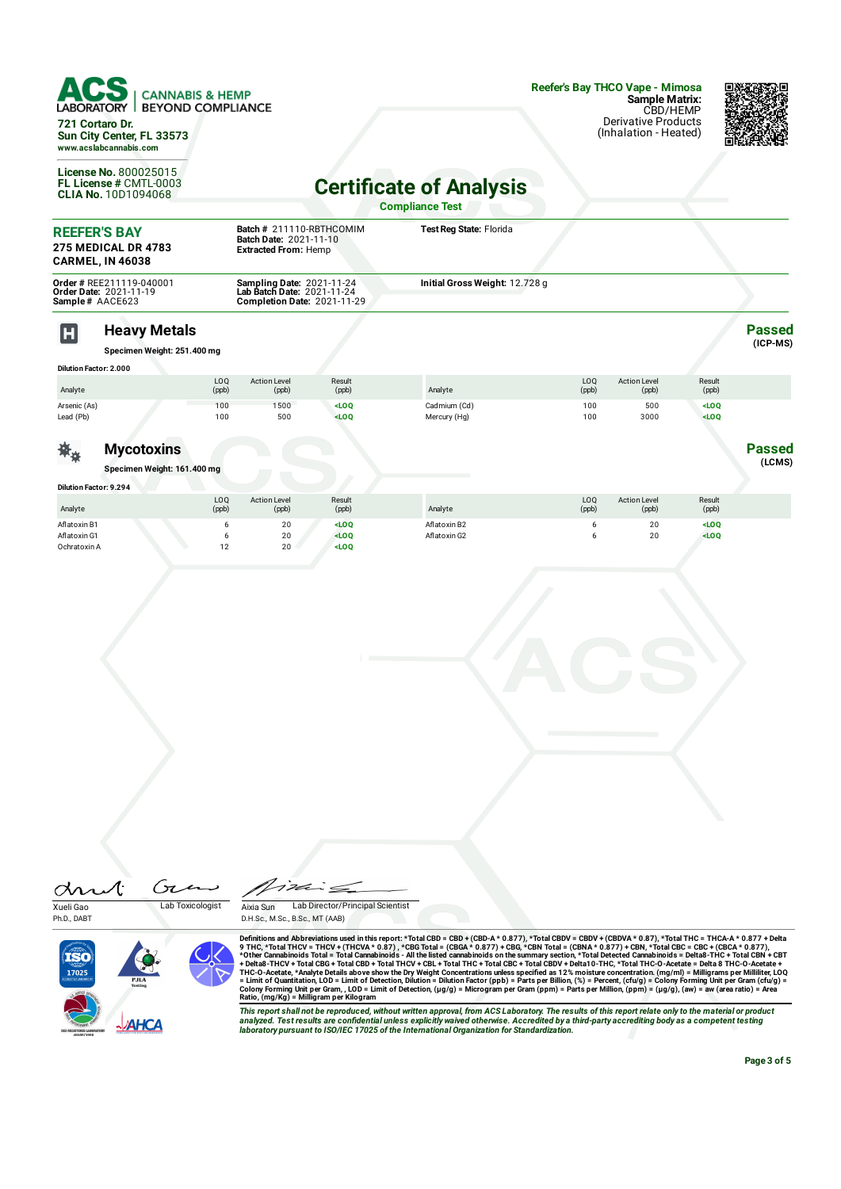| $\textbf{1CS}$ $\mid$ cannabis & hemp |  |
|---------------------------------------|--|
| <b>BOBITOM!</b> BEVOLID COLIDILIATOR  |  |

LABORATORY | BEYOND COMPLIANCE **721 Cortaro Dr.**

**Sun City Center, FL 33573 www.acslabcannabis.com**

**License No.** 800025015 **FL License #** CMTL-0003 **CLIA No.** 10D1094068 **Reefer's Bay THCO Vape - Mimosa Sample Matrix:** CBD/HEMP Derivative Products (Inhalation - Heated)



**Passed (ICP-MS)**

**Passed (LCMS)**

**Certicate of Analysis Compliance Test**

| <b>REEFER'S BAY</b><br><b>275 MEDICAL DR 4783</b><br><b>CARMEL, IN 46038</b>        | Batch # 211110-RBTHCOMIM<br><b>Batch Date: 2021-11-10</b><br><b>Extracted From: Hemp</b>             | Test Reg State: Florida        |  |
|-------------------------------------------------------------------------------------|------------------------------------------------------------------------------------------------------|--------------------------------|--|
| <b>Order # REE211119-040001</b><br><b>Order Date: 2021-11-19</b><br>Sample# AACE623 | <b>Sampling Date: 2021-11-24</b><br>Lab Batch Date: 2021-11-24<br><b>Completion Date: 2021-11-29</b> | Initial Gross Weight: 12.728 g |  |

## **Heavy Metals**

**Specimen Weight: 251.400 mg**

| <b>Dilution Factor: 2.000</b> |              |                              |                 |              |              |                              |                 |  |
|-------------------------------|--------------|------------------------------|-----------------|--------------|--------------|------------------------------|-----------------|--|
| Analyte                       | LOO<br>(ppb) | <b>Action Level</b><br>(ppb) | Result<br>(ppb) | Analyte      | LOQ<br>(ppb) | <b>Action Level</b><br>(ppb) | Result<br>(ppb) |  |
| Arsenic (As)                  | 100          | 1500                         | $<$ LOQ         | Cadmium (Cd) | 100          | 500                          | $<$ LOQ         |  |
| Lead (Pb)                     | 100          | 500                          | $<$ LOQ         | Mercury (Hg) | 100          | 3000                         | $<$ LOQ         |  |
|                               |              |                              |                 |              |              |                              |                 |  |

茶 $_{\rm \bm{\ast}}$ **Mycotoxins**

m

**Specimen Weight: 161.400 mg**

| <b>Dilution Factor: 9.294</b> |               |                              |                 |              |              |                              |                              |  |
|-------------------------------|---------------|------------------------------|-----------------|--------------|--------------|------------------------------|------------------------------|--|
| Analyte                       | LOQ<br>(ppb)  | <b>Action Level</b><br>(ppb) | Result<br>(ppb) | Analyte      | LOQ<br>(ppb) | <b>Action Level</b><br>(ppb) | Result<br>(ppb)              |  |
| Aflatoxin B1                  |               | 20                           | $<$ LOQ         | Aflatoxin B2 |              | 20                           | <loq< td=""><td></td></loq<> |  |
| Aflatoxin G1                  |               | 20                           | $<$ LOQ         | Aflatoxin G2 |              | 20                           | $<$ LOQ                      |  |
| Ochratoxin A                  | $\sim$<br>. L | 20                           | $<$ LOQ         |              |              |                              |                              |  |



Ph.D., DABT

Aixia Sun Lab Director/Principal Scientist

D.H.Sc., M.Sc., B.Sc., MT (AAB)



Definitions and Abbreviations used in this report:\*Total CBD = CBD + (CBD-A\* 0.877), \*Total CBDV = CBDV + (CBDVA\* 0.87),\*Total CBC = CBC + (CBCA\* 0.877) + CBN,\*Total CBC = CBC + (CBCA\* 0.877) + CBN,\*Total CBC = CBC + (CBC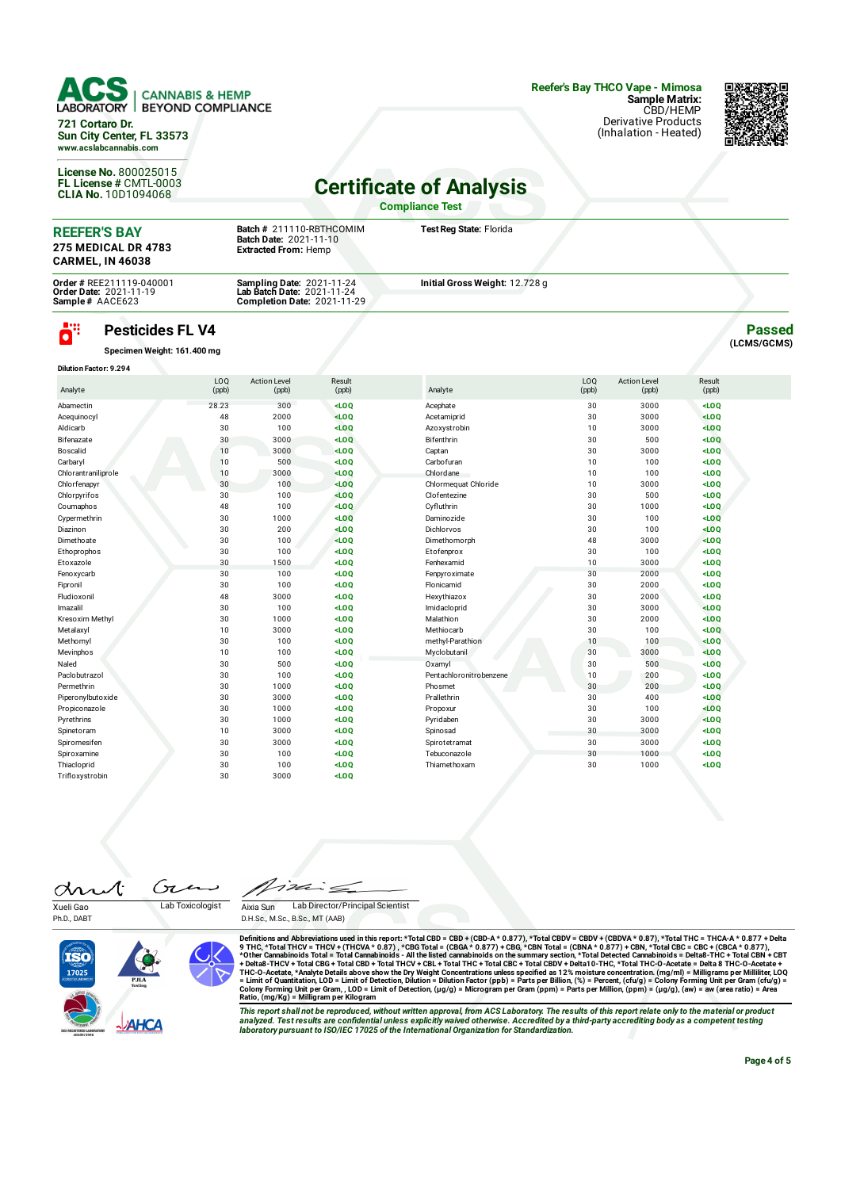## **CANNABIS & HEMP BEYOND COMPLIANCE 721 Cortaro Dr. Sun City Center, FL 33573 www.acslabcannabis.com**

**License No.** 800025015 **FL License #** CMTL-0003 **CLIA No.** 10D1094068 **Reefer's Bay THCO Vape - Mimosa Sample Matrix:** CBD/HEMP Derivative Products (Inhalation - Heated)



**Passed (LCMS/GCMS)**

## **Certificate of Analysis**

**Compliance Test**

| <b>REEFER'S BAY</b><br><b>275 MEDICAL DR 4783</b><br><b>CARMEL. IN 46038</b> | Batch # 211110-RBTHCOMIM<br><b>Batch Date: 2021-11-10</b><br><b>Extracted From: Hemp</b> | Test Reg State: Florida        |  |
|------------------------------------------------------------------------------|------------------------------------------------------------------------------------------|--------------------------------|--|
| <b>Order # REE211119-040001</b>                                              | <b>Sampling Date: 2021-11-24</b>                                                         | Initial Gross Weight: 12.728 g |  |
| <b>Order Date: 2021-11-19</b><br>Sample# AACE623                             | Lab Batch Date: 2021-11-24<br><b>Completion Date: 2021-11-29</b>                         |                                |  |

## ö" **Pesticides FL V4**

**Specimen Weight: 161.400 mg**

| <b>Dilution Factor: 9.294</b> |              |                              |                 |                         |              |                              |                 |  |
|-------------------------------|--------------|------------------------------|-----------------|-------------------------|--------------|------------------------------|-----------------|--|
| Analyte                       | LOQ<br>(ppb) | <b>Action Level</b><br>(ppb) | Result<br>(ppb) | Analyte                 | LOQ<br>(ppb) | <b>Action Level</b><br>(ppb) | Result<br>(ppb) |  |
| Abamectin                     | 28.23        | 300                          | $<$ LOQ         | Acephate                | 30           | 3000                         | $<$ LOQ         |  |
| Acequinocyl                   | 48           | 2000                         | $<$ LOQ         | Acetamiprid             | 30           | 3000                         | LOO             |  |
| Aldicarb                      | 30           | 100                          | LOO             | Azoxystrobin            | 10           | 3000                         | $<$ LOQ         |  |
| Bifenazate                    | 30           | 3000                         | LOO             | Bifenthrin              | 30           | 500                          | $<$ LOQ         |  |
| Boscalid                      | 10           | 3000                         | $<$ LOQ         | Captan                  | 30           | 3000                         | $<$ LOQ         |  |
| Carbaryl                      | 10           | 500                          | $<$ LOQ         | Carbofuran              | 10           | 100                          | $<$ LOQ         |  |
| Chlorantraniliprole           | 10           | 3000                         | LOO             | Chlordane               | 10           | 100                          | $<$ LOQ         |  |
| Chlorfenapyr                  | 30           | 100                          | LOO             | Chlormequat Chloride    | 10           | 3000                         | $<$ LOQ         |  |
| Chlorpyrifos                  | 30           | 100                          | $<$ LOQ         | Clofentezine            | 30           | 500                          | $<$ LOQ         |  |
| Coumaphos                     | 48           | 100                          | LOO             | Cyfluthrin              | 30           | 1000                         | $<$ LOQ         |  |
| Cypermethrin                  | 30           | 1000                         | LOO             | Daminozide              | 30           | 100                          | $<$ LOQ         |  |
| Diazinon                      | 30           | 200                          | $<$ LOQ         | Dichlorvos              | 30           | 100                          | $<$ LOQ         |  |
| Dimethoate                    | 30           | 100                          | $<$ LOQ         | Dimethomorph            | 48           | 3000                         | LOO             |  |
| Ethoprophos                   | 30           | 100                          | $<$ LOQ         | Etofenprox              | 30           | 100                          | $<$ LOQ         |  |
| Etoxazole                     | 30           | 1500                         | $<$ LOQ         | Fenhexamid              | 10           | 3000                         | $<$ LOQ         |  |
| Fenoxycarb                    | 30           | 100                          | $<$ LOQ         | Fenpyroximate           | 30           | 2000                         | $<$ LOQ         |  |
| Fipronil                      | 30           | 100                          | $<$ LOQ         | Flonicamid              | 30           | 2000                         | $<$ LOQ         |  |
| Fludioxonil                   | 48           | 3000                         | $<$ LOQ         | Hexythiazox             | 30           | 2000                         | $<$ LOQ         |  |
| Imazalil                      | 30           | 100                          | $<$ LOQ         | Imidacloprid            | 30           | 3000                         | $<$ LOQ         |  |
| Kresoxim Methvl               | 30           | 1000                         | $<$ LOQ         | Malathion               | 30           | 2000                         | LOO             |  |
| Metalaxyl                     | 10           | 3000                         | $<$ LOQ         | Methiocarb              | 30           | 100                          | LOO             |  |
| Methomyl                      | 30           | 100                          | $<$ LOQ         | methyl-Parathion        | 10           | 100                          | LOO             |  |
| Mevinphos                     | 10           | 100                          | $<$ LOQ         | Myclobutanil            | 30           | 3000                         | LOO             |  |
| Naled                         | 30           | 500                          | $<$ LOQ         | Oxamyl                  | 30           | 500                          | $<$ LOQ         |  |
| Paclobutrazol                 | 30           | 100                          | $<$ LOQ         | Pentachloronitrobenzene | 10           | 200                          | $<$ LOQ         |  |
| Permethrin                    | 30           | 1000                         | $<$ LOQ         | Phosmet                 | 30           | 200                          | $<$ LOQ         |  |
| Piperonylbutoxide             | 30           | 3000                         | $<$ LOQ         | Prallethrin             | 30           | 400                          | $<$ LOQ         |  |
| Propiconazole                 | 30           | 1000                         | $<$ LOQ         | Propoxur                | 30           | 100                          | $<$ LOQ         |  |
| Pyrethrins                    | 30           | 1000                         | $<$ LOQ         | Pyridaben               | 30           | 3000                         | LOO             |  |
| Spinetoram                    | 10           | 3000                         | $<$ LOQ         | Spinosad                | 30           | 3000                         | $<$ LOQ         |  |
| Spiromesifen                  | 30           | 3000                         | $<$ LOQ         | Spirotetramat           | 30           | 3000                         | $<$ LOQ         |  |
| Spiroxamine                   | 30           | 100                          | $<$ LOQ         | Tebuconazole            | 30           | 1000                         | $<$ LOQ         |  |
| Thiacloprid                   | 30           | 100                          | LOO             | Thiamethoxam            | 30           | 1000                         | $<$ LOQ         |  |
| Trifloxystrobin               | 30           | 3000                         | $<$ LOQ         |                         |              |                              |                 |  |

Gτ drut Xueli Gao Lab Toxicologist

Ph.D., DABT

っぽ  $\leq$ Aixia Sun Lab Director/Principal Scientist D.H.Sc., M.Sc., B.Sc., MT (AAB)



Definitions and Abbreviations used in this report:\*Total CBD = CBD + (CBD-A\* 0.877), \*Total CBDV = CBDV + (CBDVA\* 0.87),\*Total CBC = CBC + (CBCA\* 0.877) + CBN,\*Total CBC = CBC + (CBCA\* 0.877) + CBN,\*Total CBC = CBC + (CBC